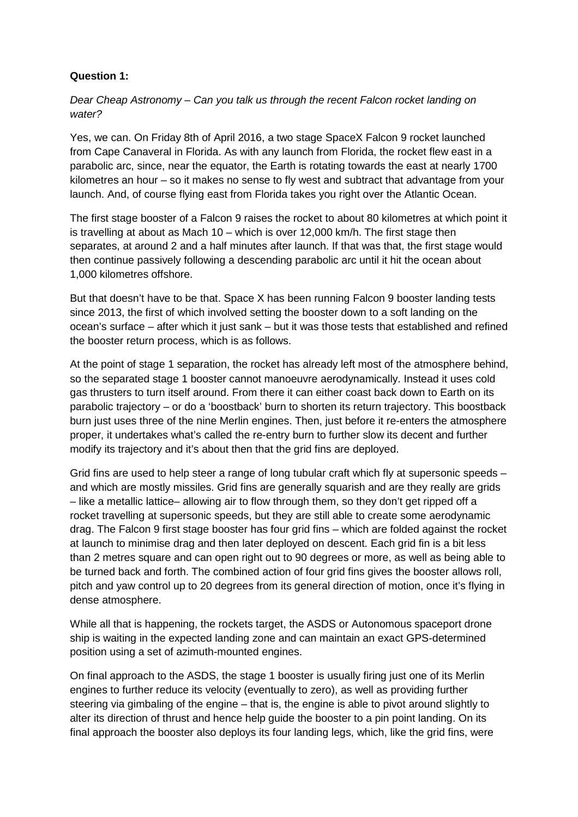## **Question 1:**

Dear Cheap Astronomy – Can you talk us through the recent Falcon rocket landing on water?

Yes, we can. On Friday 8th of April 2016, a two stage SpaceX Falcon 9 rocket launched from Cape Canaveral in Florida. As with any launch from Florida, the rocket flew east in a parabolic arc, since, near the equator, the Earth is rotating towards the east at nearly 1700 kilometres an hour – so it makes no sense to fly west and subtract that advantage from your launch. And, of course flying east from Florida takes you right over the Atlantic Ocean.

The first stage booster of a Falcon 9 raises the rocket to about 80 kilometres at which point it is travelling at about as Mach 10 – which is over 12,000 km/h. The first stage then separates, at around 2 and a half minutes after launch. If that was that, the first stage would then continue passively following a descending parabolic arc until it hit the ocean about 1,000 kilometres offshore.

But that doesn't have to be that. Space X has been running Falcon 9 booster landing tests since 2013, the first of which involved setting the booster down to a soft landing on the ocean's surface – after which it just sank – but it was those tests that established and refined the booster return process, which is as follows.

At the point of stage 1 separation, the rocket has already left most of the atmosphere behind, so the separated stage 1 booster cannot manoeuvre aerodynamically. Instead it uses cold gas thrusters to turn itself around. From there it can either coast back down to Earth on its parabolic trajectory – or do a 'boostback' burn to shorten its return trajectory. This boostback burn just uses three of the nine Merlin engines. Then, just before it re-enters the atmosphere proper, it undertakes what's called the re-entry burn to further slow its decent and further modify its trajectory and it's about then that the grid fins are deployed.

Grid fins are used to help steer a range of long tubular craft which fly at supersonic speeds – and which are mostly missiles. Grid fins are generally squarish and are they really are grids – like a metallic lattice– allowing air to flow through them, so they don't get ripped off a rocket travelling at supersonic speeds, but they are still able to create some aerodynamic drag. The Falcon 9 first stage booster has four grid fins – which are folded against the rocket at launch to minimise drag and then later deployed on descent. Each grid fin is a bit less than 2 metres square and can open right out to 90 degrees or more, as well as being able to be turned back and forth. The combined action of four grid fins gives the booster allows roll, pitch and yaw control up to 20 degrees from its general direction of motion, once it's flying in dense atmosphere.

While all that is happening, the rockets target, the ASDS or Autonomous spaceport drone ship is waiting in the expected landing zone and can maintain an exact GPS-determined position using a set of azimuth-mounted engines.

On final approach to the ASDS, the stage 1 booster is usually firing just one of its Merlin engines to further reduce its velocity (eventually to zero), as well as providing further steering via gimbaling of the engine – that is, the engine is able to pivot around slightly to alter its direction of thrust and hence help guide the booster to a pin point landing. On its final approach the booster also deploys its four landing legs, which, like the grid fins, were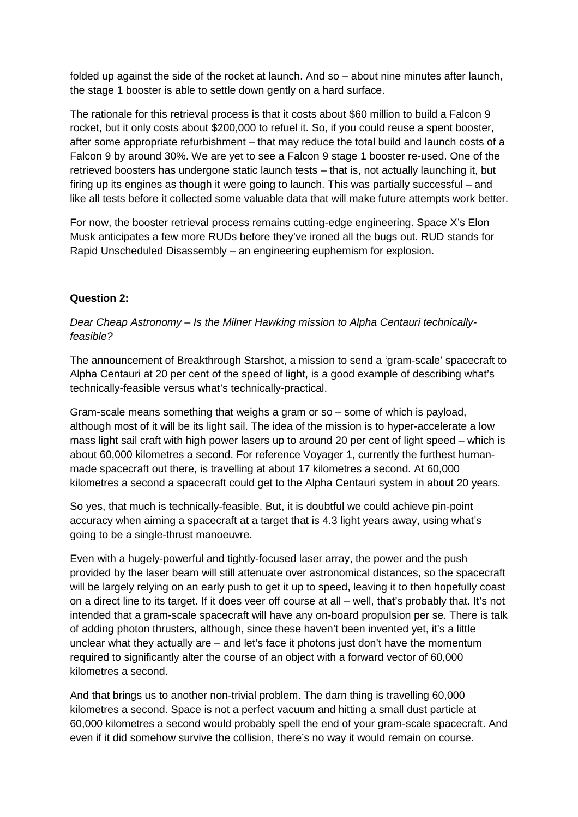folded up against the side of the rocket at launch. And so – about nine minutes after launch, the stage 1 booster is able to settle down gently on a hard surface.

The rationale for this retrieval process is that it costs about \$60 million to build a Falcon 9 rocket, but it only costs about \$200,000 to refuel it. So, if you could reuse a spent booster, after some appropriate refurbishment – that may reduce the total build and launch costs of a Falcon 9 by around 30%. We are yet to see a Falcon 9 stage 1 booster re-used. One of the retrieved boosters has undergone static launch tests – that is, not actually launching it, but firing up its engines as though it were going to launch. This was partially successful – and like all tests before it collected some valuable data that will make future attempts work better.

For now, the booster retrieval process remains cutting-edge engineering. Space X's Elon Musk anticipates a few more RUDs before they've ironed all the bugs out. RUD stands for Rapid Unscheduled Disassembly – an engineering euphemism for explosion.

## **Question 2:**

Dear Cheap Astronomy – Is the Milner Hawking mission to Alpha Centauri technicallyfeasible?

The announcement of Breakthrough Starshot, a mission to send a 'gram-scale' spacecraft to Alpha Centauri at 20 per cent of the speed of light, is a good example of describing what's technically-feasible versus what's technically-practical.

Gram-scale means something that weighs a gram or so – some of which is payload, although most of it will be its light sail. The idea of the mission is to hyper-accelerate a low mass light sail craft with high power lasers up to around 20 per cent of light speed – which is about 60,000 kilometres a second. For reference Voyager 1, currently the furthest humanmade spacecraft out there, is travelling at about 17 kilometres a second. At 60,000 kilometres a second a spacecraft could get to the Alpha Centauri system in about 20 years.

So yes, that much is technically-feasible. But, it is doubtful we could achieve pin-point accuracy when aiming a spacecraft at a target that is 4.3 light years away, using what's going to be a single-thrust manoeuvre.

Even with a hugely-powerful and tightly-focused laser array, the power and the push provided by the laser beam will still attenuate over astronomical distances, so the spacecraft will be largely relying on an early push to get it up to speed, leaving it to then hopefully coast on a direct line to its target. If it does veer off course at all – well, that's probably that. It's not intended that a gram-scale spacecraft will have any on-board propulsion per se. There is talk of adding photon thrusters, although, since these haven't been invented yet, it's a little unclear what they actually are – and let's face it photons just don't have the momentum required to significantly alter the course of an object with a forward vector of 60,000 kilometres a second.

And that brings us to another non-trivial problem. The darn thing is travelling 60,000 kilometres a second. Space is not a perfect vacuum and hitting a small dust particle at 60,000 kilometres a second would probably spell the end of your gram-scale spacecraft. And even if it did somehow survive the collision, there's no way it would remain on course.